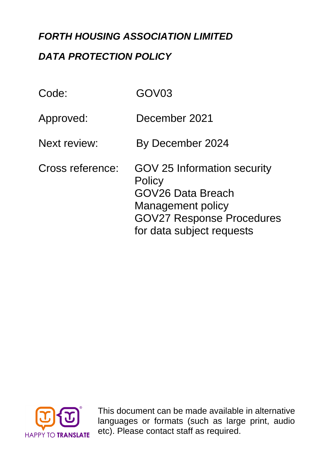# *FORTH HOUSING ASSOCIATION LIMITED*

# *DATA PROTECTION POLICY*

| Code:               | GOV03                                                                                                                                                          |
|---------------------|----------------------------------------------------------------------------------------------------------------------------------------------------------------|
| Approved:           | December 2021                                                                                                                                                  |
| <b>Next review:</b> | By December 2024                                                                                                                                               |
| Cross reference:    | <b>GOV 25 Information security</b><br>Policy<br>GOV26 Data Breach<br><b>Management policy</b><br><b>GOV27 Response Procedures</b><br>for data subject requests |



languages or formats (such as large print, audio This document can be made available in alternative etc). Please contact staff as required.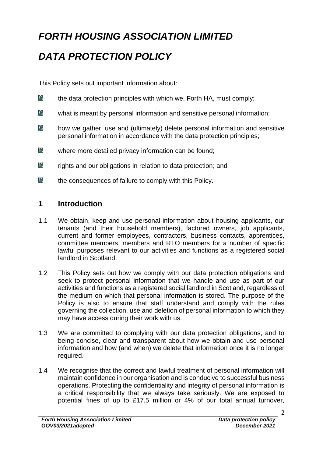# *FORTH HOUSING ASSOCIATION LIMITED*

# *DATA PROTECTION POLICY*

This Policy sets out important information about:

- bà the data protection principles with which we, Forth HA, must comply;
- $E_{\lambda}$ what is meant by personal information and sensitive personal information;
- bi how we gather, use and (ultimately) delete personal information and sensitive personal information in accordance with the data protection principles;
- $E<sub>1</sub>$ where more detailed privacy information can be found;
- bà rights and our obligations in relation to data protection; and
- bs the consequences of failure to comply with this Policy.

## **1 Introduction**

- 1.1 We obtain, keep and use personal information about housing applicants, our tenants (and their household members), factored owners, job applicants, current and former employees, contractors, business contacts, apprentices, committee members, members and RTO members for a number of specific lawful purposes relevant to our activities and functions as a registered social landlord in Scotland.
- 1.2 This Policy sets out how we comply with our data protection obligations and seek to protect personal information that we handle and use as part of our activities and functions as a registered social landlord in Scotland, regardless of the medium on which that personal information is stored. The purpose of the Policy is also to ensure that staff understand and comply with the rules governing the collection, use and deletion of personal information to which they may have access during their work with us.
- 1.3 We are committed to complying with our data protection obligations, and to being concise, clear and transparent about how we obtain and use personal information and how (and when) we delete that information once it is no longer required.
- 1.4 We recognise that the correct and lawful treatment of personal information will maintain confidence in our organisation and is conducive to successful business operations. Protecting the confidentiality and integrity of personal information is a critical responsibility that we always take seriously. We are exposed to potential fines of up to £17.5 million or 4% of our total annual turnover,

 $\mathcal{L}$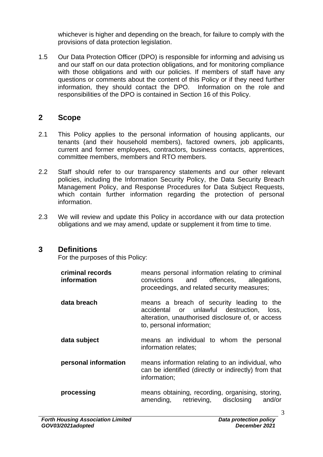whichever is higher and depending on the breach, for failure to comply with the provisions of data protection legislation.

1.5 Our Data Protection Officer (DPO) is responsible for informing and advising us and our staff on our data protection obligations, and for monitoring compliance with those obligations and with our policies. If members of staff have any questions or comments about the content of this Policy or if they need further information, they should contact the DPO. Information on the role and responsibilities of the DPO is contained in Section 16 of this Policy.

### **2 Scope**

- 2.1 This Policy applies to the personal information of housing applicants, our tenants (and their household members), factored owners, job applicants, current and former employees, contractors, business contacts, apprentices, committee members, members and RTO members.
- 2.2 Staff should refer to our transparency statements and our other relevant policies, including the Information Security Policy, the Data Security Breach Management Policy, and Response Procedures for Data Subject Requests, which contain further information regarding the protection of personal information.
- 2.3 We will review and update this Policy in accordance with our data protection obligations and we may amend, update or supplement it from time to time.

#### **3 Definitions**

For the purposes of this Policy:

| criminal records<br>information | means personal information relating to criminal<br>convictions and offences, allegations,<br>proceedings, and related security measures;                                 |
|---------------------------------|--------------------------------------------------------------------------------------------------------------------------------------------------------------------------|
| data breach                     | means a breach of security leading to the<br>accidental or unlawful destruction, loss,<br>alteration, unauthorised disclosure of, or access<br>to, personal information; |
| data subject                    | means an individual to whom the personal<br>information relates;                                                                                                         |
| personal information            | means information relating to an individual, who<br>can be identified (directly or indirectly) from that<br>information;                                                 |
| processing                      | means obtaining, recording, organising, storing,<br>amending, retrieving, disclosing<br>and/or                                                                           |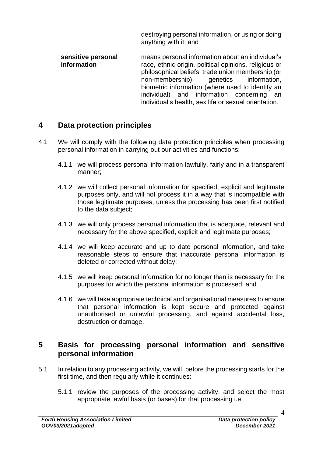<span id="page-3-1"></span>destroying personal information, or using or doing anything with it; and

**sensitive personal information** means personal information about an individual's race, ethnic origin, political opinions, religious or philosophical beliefs, trade union membership (or non-membership), genetics information, biometric information (where used to identify an individual) and information concerning an individual's health, sex life or sexual orientation.

### **4 Data protection principles**

- 4.1 We will comply with the following data protection principles when processing personal information in carrying out our activities and functions:
	- 4.1.1 we will process personal information lawfully, fairly and in a transparent manner;
	- 4.1.2 we will collect personal information for specified, explicit and legitimate purposes only, and will not process it in a way that is incompatible with those legitimate purposes, unless the processing has been first notified to the data subject;
	- 4.1.3 we will only process personal information that is adequate, relevant and necessary for the above specified, explicit and legitimate purposes;
	- 4.1.4 we will keep accurate and up to date personal information, and take reasonable steps to ensure that inaccurate personal information is deleted or corrected without delay;
	- 4.1.5 we will keep personal information for no longer than is necessary for the purposes for which the personal information is processed; and
	- 4.1.6 we will take appropriate technical and organisational measures to ensure that personal information is kept secure and protected against unauthorised or unlawful processing, and against accidental loss, destruction or damage.

#### **5 Basis for processing personal information and sensitive personal information**

- <span id="page-3-0"></span>5.1 In relation to any processing activity, we will, before the processing starts for the first time, and then regularly while it continues:
	- 5.1.1 review the purposes of the processing activity, and select the most appropriate lawful basis (or bases) for that processing i.e.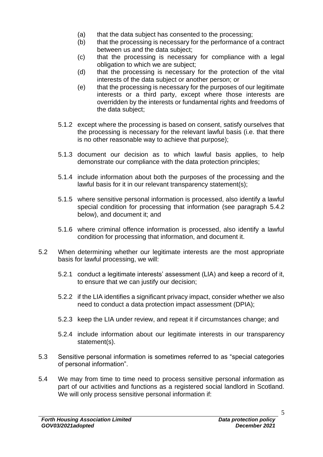- (a) that the data subject has consented to the processing;
- (b) that the processing is necessary for the performance of a contract between us and the data subject;
- (c) that the processing is necessary for compliance with a legal obligation to which we are subject;
- (d) that the processing is necessary for the protection of the vital interests of the data subject or another person; or
- (e) that the processing is necessary for the purposes of our legitimate interests or a third party, except where those interests are overridden by the interests or fundamental rights and freedoms of the data subject;
- 5.1.2 except where the processing is based on consent, satisfy ourselves that the processing is necessary for the relevant lawful basis (i.e. that there is no other reasonable way to achieve that purpose);
- 5.1.3 document our decision as to which lawful basis applies, to help demonstrate our compliance with the data protection principles;
- 5.1.4 include information about both the purposes of the processing and the lawful basis for it in our relevant transparency statement(s);
- 5.1.5 where sensitive personal information is processed, also identify a lawful special condition for processing that information (see paragraph [5.4.2](#page-5-0) below), and document it; and
- 5.1.6 where criminal offence information is processed, also identify a lawful condition for processing that information, and document it.
- 5.2 When determining whether our legitimate interests are the most appropriate basis for lawful processing, we will:
	- 5.2.1 conduct a legitimate interests' assessment (LIA) and keep a record of it, to ensure that we can justify our decision;
	- 5.2.2 if the LIA identifies a significant privacy impact, consider whether we also need to conduct a data protection impact assessment (DPIA);
	- 5.2.3 keep the LIA under review, and repeat it if circumstances change; and
	- 5.2.4 include information about our legitimate interests in our transparency statement(s).
- 5.3 Sensitive personal information is sometimes referred to as "special categories of personal information".
- 5.4 We may from time to time need to process sensitive personal information as part of our activities and functions as a registered social landlord in Scotland. We will only process sensitive personal information if: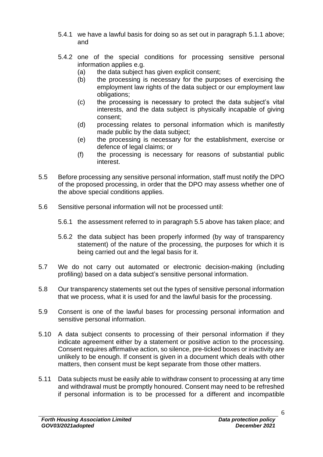- 5.4.1 we have a lawful basis for doing so as set out in paragraph [5.1.1](#page-3-0) above; and
- <span id="page-5-0"></span>5.4.2 one of the special conditions for processing sensitive personal information applies e.g.
	- (a) the data subject has given explicit consent;
	- (b) the processing is necessary for the purposes of exercising the employment law rights of the data subject or our employment law obligations;
	- (c) the processing is necessary to protect the data subject's vital interests, and the data subject is physically incapable of giving consent;
	- (d) processing relates to personal information which is manifestly made public by the data subject;
	- (e) the processing is necessary for the establishment, exercise or defence of legal claims; or
	- (f) the processing is necessary for reasons of substantial public interest.
- 5.5 Before processing any sensitive personal information, staff must notify the DPO of the proposed processing, in order that the DPO may assess whether one of the above special conditions applies.
- 5.6 Sensitive personal information will not be processed until:
	- 5.6.1 the assessment referred to in paragraph 5.5 above has taken place; and
	- 5.6.2 the data subject has been properly informed (by way of transparency statement) of the nature of the processing, the purposes for which it is being carried out and the legal basis for it.
- 5.7 We do not carry out automated or electronic decision-making (including profiling) based on a data subject's sensitive personal information.
- 5.8 Our transparency statements set out the types of sensitive personal information that we process, what it is used for and the lawful basis for the processing.
- 5.9 Consent is one of the lawful bases for processing personal information and sensitive personal information.
- 5.10 A data subject consents to processing of their personal information if they indicate agreement either by a statement or positive action to the processing. Consent requires affirmative action, so silence, pre-ticked boxes or inactivity are unlikely to be enough. If consent is given in a document which deals with other matters, then consent must be kept separate from those other matters.
- 5.11 Data subjects must be easily able to withdraw consent to processing at any time and withdrawal must be promptly honoured. Consent may need to be refreshed if personal information is to be processed for a different and incompatible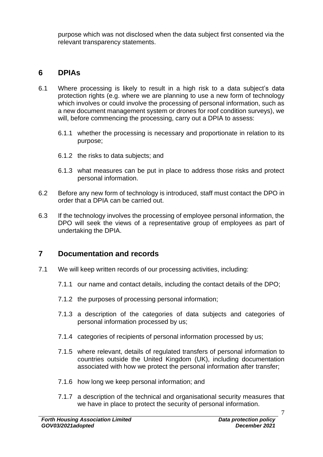purpose which was not disclosed when the data subject first consented via the relevant transparency statements.

## **6 DPIAs**

- 6.1 Where processing is likely to result in a high risk to a data subject's data protection rights (e.g. where we are planning to use a new form of technology which involves or could involve the processing of personal information, such as a new document management system or drones for roof condition surveys), we will, before commencing the processing, carry out a DPIA to assess:
	- 6.1.1 whether the processing is necessary and proportionate in relation to its purpose;
	- 6.1.2 the risks to data subjects; and
	- 6.1.3 what measures can be put in place to address those risks and protect personal information.
- 6.2 Before any new form of technology is introduced, staff must contact the DPO in order that a DPIA can be carried out.
- 6.3 If the technology involves the processing of employee personal information, the DPO will seek the views of a representative group of employees as part of undertaking the DPIA.

### **7 Documentation and records**

- 7.1 We will keep written records of our processing activities, including:
	- 7.1.1 our name and contact details, including the contact details of the DPO;
	- 7.1.2 the purposes of processing personal information;
	- 7.1.3 a description of the categories of data subjects and categories of personal information processed by us;
	- 7.1.4 categories of recipients of personal information processed by us;
	- 7.1.5 where relevant, details of regulated transfers of personal information to countries outside the United Kingdom (UK), including documentation associated with how we protect the personal information after transfer;
	- 7.1.6 how long we keep personal information; and
	- 7.1.7 a description of the technical and organisational security measures that we have in place to protect the security of personal information.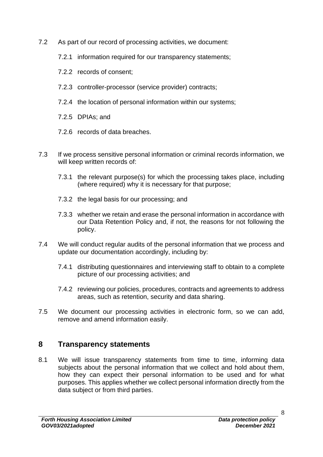- 7.2 As part of our record of processing activities, we document:
	- 7.2.1 information required for our transparency statements;
	- 7.2.2 records of consent;
	- 7.2.3 controller-processor (service provider) contracts;
	- 7.2.4 the location of personal information within our systems;
	- 7.2.5 DPIAs; and
	- 7.2.6 records of data breaches.
- 7.3 If we process sensitive personal information or criminal records information, we will keep written records of:
	- 7.3.1 the relevant purpose(s) for which the processing takes place, including (where required) why it is necessary for that purpose;
	- 7.3.2 the legal basis for our processing; and
	- 7.3.3 whether we retain and erase the personal information in accordance with our Data Retention Policy and, if not, the reasons for not following the policy.
- 7.4 We will conduct regular audits of the personal information that we process and update our documentation accordingly, including by:
	- 7.4.1 distributing questionnaires and interviewing staff to obtain to a complete picture of our processing activities; and
	- 7.4.2 reviewing our policies, procedures, contracts and agreements to address areas, such as retention, security and data sharing.
- 7.5 We document our processing activities in electronic form, so we can add, remove and amend information easily.

### **8 Transparency statements**

8.1 We will issue transparency statements from time to time, informing data subjects about the personal information that we collect and hold about them, how they can expect their personal information to be used and for what purposes. This applies whether we collect personal information directly from the data subject or from third parties.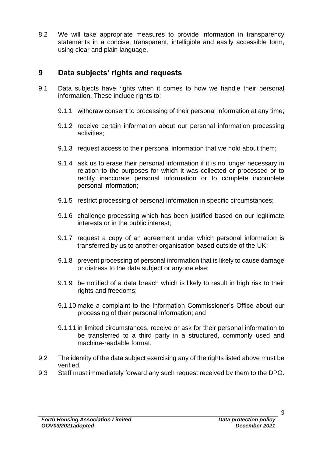8.2 We will take appropriate measures to provide information in transparency statements in a concise, transparent, intelligible and easily accessible form, using clear and plain language.

### **9 Data subjects' rights and requests**

- 9.1 Data subjects have rights when it comes to how we handle their personal information. These include rights to:
	- 9.1.1 withdraw consent to processing of their personal information at any time;
	- 9.1.2 receive certain information about our personal information processing activities;
	- 9.1.3 request access to their personal information that we hold about them;
	- 9.1.4 ask us to erase their personal information if it is no longer necessary in relation to the purposes for which it was collected or processed or to rectify inaccurate personal information or to complete incomplete personal information;
	- 9.1.5 restrict processing of personal information in specific circumstances;
	- 9.1.6 challenge processing which has been justified based on our legitimate interests or in the public interest;
	- 9.1.7 request a copy of an agreement under which personal information is transferred by us to another organisation based outside of the UK;
	- 9.1.8 prevent processing of personal information that is likely to cause damage or distress to the data subject or anyone else;
	- 9.1.9 be notified of a data breach which is likely to result in high risk to their rights and freedoms:
	- 9.1.10 make a complaint to the Information Commissioner's Office about our processing of their personal information; and
	- 9.1.11 in limited circumstances, receive or ask for their personal information to be transferred to a third party in a structured, commonly used and machine-readable format.
- 9.2 The identity of the data subject exercising any of the rights listed above must be verified.
- 9.3 Staff must immediately forward any such request received by them to the DPO.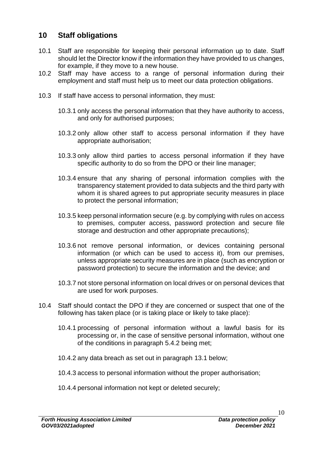### **10 Staff obligations**

- 10.1 Staff are responsible for keeping their personal information up to date. Staff should let the Director know if the information they have provided to us changes, for example, if they move to a new house.
- 10.2 Staff may have access to a range of personal information during their employment and staff must help us to meet our data protection obligations.
- 10.3 If staff have access to personal information, they must:
	- 10.3.1 only access the personal information that they have authority to access, and only for authorised purposes;
	- 10.3.2 only allow other staff to access personal information if they have appropriate authorisation;
	- 10.3.3 only allow third parties to access personal information if they have specific authority to do so from the DPO or their line manager;
	- 10.3.4 ensure that any sharing of personal information complies with the transparency statement provided to data subjects and the third party with whom it is shared agrees to put appropriate security measures in place to protect the personal information;
	- 10.3.5 keep personal information secure (e.g. by complying with rules on access to premises, computer access, password protection and secure file storage and destruction and other appropriate precautions);
	- 10.3.6 not remove personal information, or devices containing personal information (or which can be used to access it), from our premises, unless appropriate security measures are in place (such as encryption or password protection) to secure the information and the device; and
	- 10.3.7 not store personal information on local drives or on personal devices that are used for work purposes.
- 10.4 Staff should contact the DPO if they are concerned or suspect that one of the following has taken place (or is taking place or likely to take place):
	- 10.4.1 processing of personal information without a lawful basis for its processing or, in the case of sensitive personal information, without one of the conditions in paragraph [5.4.2](#page-5-0) being met;
	- 10.4.2 any data breach as set out in paragraph [13.1](#page-11-0) below;
	- 10.4.3 access to personal information without the proper authorisation;
	- 10.4.4 personal information not kept or deleted securely;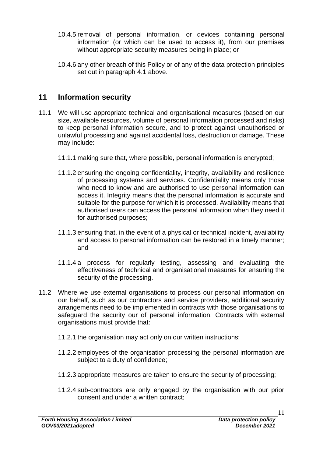- 10.4.5 removal of personal information, or devices containing personal information (or which can be used to access it), from our premises without appropriate security measures being in place; or
- 10.4.6 any other breach of this Policy or of any of the data protection principles set out in paragraph [4.1](#page-3-1) above.

## **11 Information security**

- 11.1 We will use appropriate technical and organisational measures (based on our size, available resources, volume of personal information processed and risks) to keep personal information secure, and to protect against unauthorised or unlawful processing and against accidental loss, destruction or damage. These may include:
	- 11.1.1 making sure that, where possible, personal information is encrypted;
	- 11.1.2 ensuring the ongoing confidentiality, integrity, availability and resilience of processing systems and services. Confidentiality means only those who need to know and are authorised to use personal information can access it. Integrity means that the personal information is accurate and suitable for the purpose for which it is processed. Availability means that authorised users can access the personal information when they need it for authorised purposes;
	- 11.1.3 ensuring that, in the event of a physical or technical incident, availability and access to personal information can be restored in a timely manner; and
	- 11.1.4 a process for regularly testing, assessing and evaluating the effectiveness of technical and organisational measures for ensuring the security of the processing.
- 11.2 Where we use external organisations to process our personal information on our behalf, such as our contractors and service providers, additional security arrangements need to be implemented in contracts with those organisations to safeguard the security our of personal information. Contracts with external organisations must provide that:
	- 11.2.1 the organisation may act only on our written instructions;
	- 11.2.2 employees of the organisation processing the personal information are subject to a duty of confidence;
	- 11.2.3 appropriate measures are taken to ensure the security of processing;
	- 11.2.4 sub-contractors are only engaged by the organisation with our prior consent and under a written contract;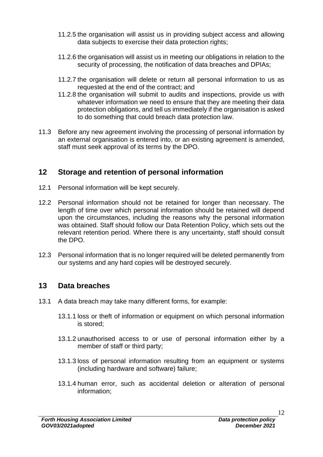- 11.2.5 the organisation will assist us in providing subject access and allowing data subjects to exercise their data protection rights;
- 11.2.6 the organisation will assist us in meeting our obligations in relation to the security of processing, the notification of data breaches and DPIAs;
- 11.2.7 the organisation will delete or return all personal information to us as requested at the end of the contract; and
- 11.2.8 the organisation will submit to audits and inspections, provide us with whatever information we need to ensure that they are meeting their data protection obligations, and tell us immediately if the organisation is asked to do something that could breach data protection law.
- 11.3 Before any new agreement involving the processing of personal information by an external organisation is entered into, or an existing agreement is amended, staff must seek approval of its terms by the DPO.

### **12 Storage and retention of personal information**

- 12.1 Personal information will be kept securely.
- 12.2 Personal information should not be retained for longer than necessary. The length of time over which personal information should be retained will depend upon the circumstances, including the reasons why the personal information was obtained. Staff should follow our Data Retention Policy, which sets out the relevant retention period. Where there is any uncertainty, staff should consult the DPO.
- 12.3 Personal information that is no longer required will be deleted permanently from our systems and any hard copies will be destroyed securely.

#### **13 Data breaches**

- <span id="page-11-0"></span>13.1 A data breach may take many different forms, for example:
	- 13.1.1 loss or theft of information or equipment on which personal information is stored;
	- 13.1.2 unauthorised access to or use of personal information either by a member of staff or third party;
	- 13.1.3 loss of personal information resulting from an equipment or systems (including hardware and software) failure;
	- 13.1.4 human error, such as accidental deletion or alteration of personal information;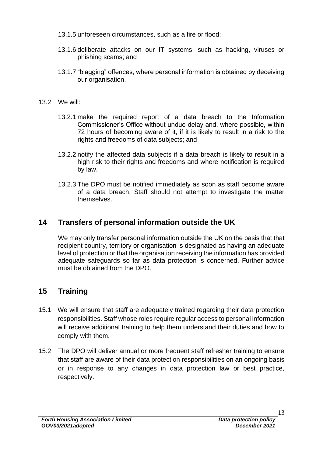- 13.1.5 unforeseen circumstances, such as a fire or flood;
- 13.1.6 deliberate attacks on our IT systems, such as hacking, viruses or phishing scams; and
- 13.1.7 "blagging" offences, where personal information is obtained by deceiving our organisation.
- 13.2 We will:
	- 13.2.1 make the required report of a data breach to the Information Commissioner's Office without undue delay and, where possible, within 72 hours of becoming aware of it, if it is likely to result in a risk to the rights and freedoms of data subjects; and
	- 13.2.2 notify the affected data subjects if a data breach is likely to result in a high risk to their rights and freedoms and where notification is required by law.
	- 13.2.3 The DPO must be notified immediately as soon as staff become aware of a data breach. Staff should not attempt to investigate the matter themselves.

# **14 Transfers of personal information outside the UK**

We may only transfer personal information outside the UK on the basis that that recipient country, territory or organisation is designated as having an adequate level of protection or that the organisation receiving the information has provided adequate safeguards so far as data protection is concerned. Further advice must be obtained from the DPO.

# **15 Training**

- 15.1 We will ensure that staff are adequately trained regarding their data protection responsibilities. Staff whose roles require regular access to personal information will receive additional training to help them understand their duties and how to comply with them.
- 15.2 The DPO will deliver annual or more frequent staff refresher training to ensure that staff are aware of their data protection responsibilities on an ongoing basis or in response to any changes in data protection law or best practice, respectively.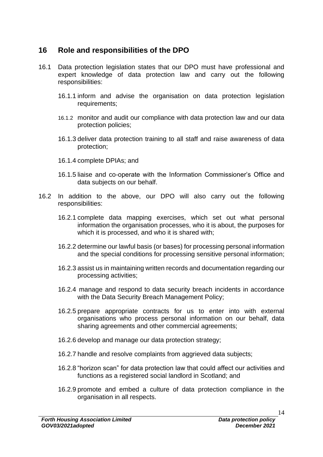### **16 Role and responsibilities of the DPO**

- 16.1 Data protection legislation states that our DPO must have professional and expert knowledge of data protection law and carry out the following responsibilities:
	- 16.1.1 inform and advise the organisation on data protection legislation requirements;
	- 16.1.2 monitor and audit our compliance with data protection law and our data protection policies;
	- 16.1.3 deliver data protection training to all staff and raise awareness of data protection;
	- 16.1.4 complete DPIAs; and
	- 16.1.5 liaise and co-operate with the Information Commissioner's Office and data subjects on our behalf.
- 16.2 In addition to the above, our DPO will also carry out the following responsibilities:
	- 16.2.1 complete data mapping exercises, which set out what personal information the organisation processes, who it is about, the purposes for which it is processed, and who it is shared with;
	- 16.2.2 determine our lawful basis (or bases) for processing personal information and the special conditions for processing sensitive personal information;
	- 16.2.3 assist us in maintaining written records and documentation regarding our processing activities;
	- 16.2.4 manage and respond to data security breach incidents in accordance with the Data Security Breach Management Policy;
	- 16.2.5 prepare appropriate contracts for us to enter into with external organisations who process personal information on our behalf, data sharing agreements and other commercial agreements;
	- 16.2.6 develop and manage our data protection strategy;
	- 16.2.7 handle and resolve complaints from aggrieved data subjects;
	- 16.2.8 "horizon scan" for data protection law that could affect our activities and functions as a registered social landlord in Scotland; and
	- 16.2.9 promote and embed a culture of data protection compliance in the organisation in all respects.